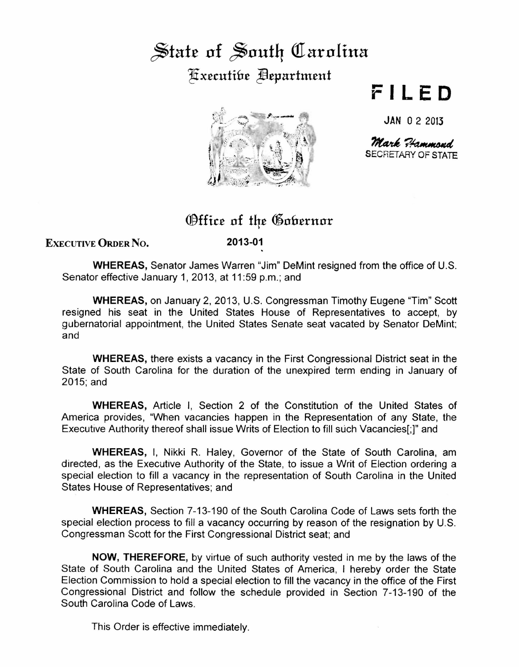## $\frac{1}{2}$  state of South Carolina Executibe **Bepartment**



## **FILED**

JAN 0 2 2013

SECRETARY OF STATE Mark Hammond

## ®ffi.ce of t4e ®ohernor

EXECUTIVE ORDER No.

**2013-01** 

**WHEREAS,** Senator James Warren "Jim" DeMint resigned from the office of U.S. Senator effective January 1, 2013, at 11:59 p.m.; and

**WHEREAS,** on January 2, 2013, U.S. Congressman Timothy Eugene "Tim" Scott resigned his seat in the United States House of Representatives to accept, by gubernatorial appointment, the United States Senate seat vacated by Senator DeMint and

**WHEREAS,** there exists a vacancy in the First Congressional District seat in the State of South Carolina for the duration of the unexpired term ending in January of 2015;and

**WHEREAS,** Article I, Section 2 of the Constitution of the United States of America provides, "When vacancies happen in the Representation of any State, the Executive Authority thereof shall issue Writs of Election to fill such Vacancies[;]" and

**WHEREAS,** I, Nikki R. Haley, Governor of the State of South Carolina, am directed, as the Executive Authority of the State, to issue a Writ of Election ordering a special election to fill a vacancy in the representation of South Carolina in the United States House of Representatives; and

**WHEREAS,** Section 7-13-190 of the South Carolina Code of Laws sets forth the special election process to fill a vacancy occurring by reason of the resignation by U.S. Congressman Scott for the First Congressional District seat; and

**NOW, THEREFORE,** by virtue of such authority vested in me by the laws of the State of South Carolina and the United States of America, I hereby order the State Election Commission to hold a special election to fill the vacancy in the office of the First Congressional District and follow the schedule provided in Section 7-13-190 of the South Carolina Code of Laws.

This Order is effective immediately.